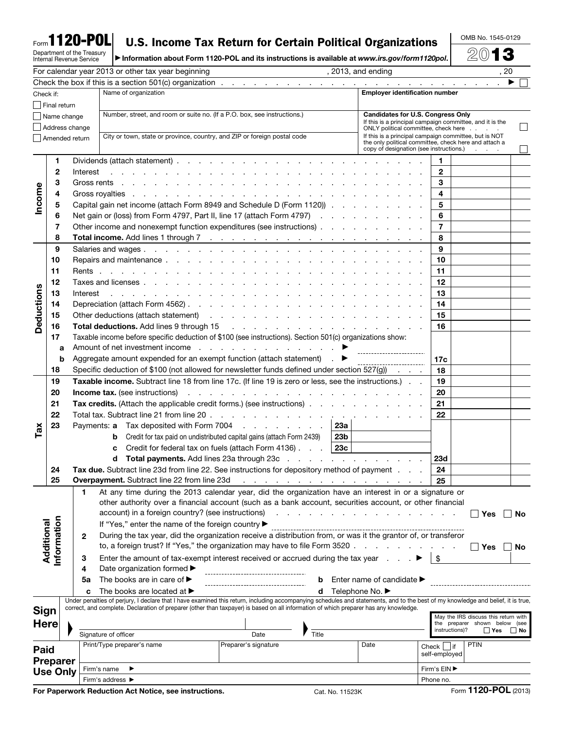# Form**1120-POL**

# **U.S. Income Tax Return for Certain Political Organizations**  $\frac{\text{OMB No. 1545-0129}}{\text{Mofor}}$

Department of the Treasury Internal Revenue Service ▶ Information about Form 1120-POL and its instructions is available at *www.irs.gov/form1120pol*. 2013

|                                    |            |                |          | For calendar year 2013 or other tax year beginning                                                                                                                                                                                                                      | , 2013, and ending                                                                                             |                |                                      | , 20      |
|------------------------------------|------------|----------------|----------|-------------------------------------------------------------------------------------------------------------------------------------------------------------------------------------------------------------------------------------------------------------------------|----------------------------------------------------------------------------------------------------------------|----------------|--------------------------------------|-----------|
|                                    |            |                |          |                                                                                                                                                                                                                                                                         |                                                                                                                |                |                                      |           |
| Check if:                          |            |                |          | Name of organization                                                                                                                                                                                                                                                    | <b>Employer identification number</b>                                                                          |                |                                      |           |
| Final return                       |            |                |          |                                                                                                                                                                                                                                                                         |                                                                                                                |                |                                      |           |
|                                    |            | Name change    |          | Number, street, and room or suite no. (If a P.O. box, see instructions.)                                                                                                                                                                                                | <b>Candidates for U.S. Congress Only</b>                                                                       |                |                                      |           |
|                                    |            |                |          |                                                                                                                                                                                                                                                                         | If this is a principal campaign committee, and it is the                                                       |                |                                      |           |
|                                    |            | Address change |          |                                                                                                                                                                                                                                                                         | ONLY political committee, check here                                                                           |                |                                      |           |
|                                    |            | Amended return |          | City or town, state or province, country, and ZIP or foreign postal code                                                                                                                                                                                                | If this is a principal campaign committee, but is NOT<br>the only political committee, check here and attach a |                |                                      |           |
|                                    |            |                |          |                                                                                                                                                                                                                                                                         | copy of designation (see instructions.)                                                                        |                | <b>Contractor</b>                    |           |
|                                    | 1          |                |          |                                                                                                                                                                                                                                                                         |                                                                                                                | 1              |                                      |           |
|                                    | 2          |                | Interest | in the second contract of the second contract of the second contract of the second                                                                                                                                                                                      |                                                                                                                | $\overline{2}$ |                                      |           |
| Income                             | З          |                |          |                                                                                                                                                                                                                                                                         |                                                                                                                | 3              |                                      |           |
|                                    |            |                |          |                                                                                                                                                                                                                                                                         |                                                                                                                |                |                                      |           |
|                                    | 4          |                |          |                                                                                                                                                                                                                                                                         |                                                                                                                | 4              |                                      |           |
|                                    | 5          |                |          | Capital gain net income (attach Form 8949 and Schedule D (Form 1120))                                                                                                                                                                                                   |                                                                                                                | 5              |                                      |           |
|                                    | 6          |                |          | Net gain or (loss) from Form 4797, Part II, line 17 (attach Form 4797)                                                                                                                                                                                                  |                                                                                                                | 6              |                                      |           |
|                                    | 7          |                |          | Other income and nonexempt function expenditures (see instructions)                                                                                                                                                                                                     |                                                                                                                | $\overline{7}$ |                                      |           |
|                                    | 8          |                |          |                                                                                                                                                                                                                                                                         |                                                                                                                | 8              |                                      |           |
|                                    | 9          |                |          |                                                                                                                                                                                                                                                                         |                                                                                                                | 9              |                                      |           |
|                                    | 10         |                |          |                                                                                                                                                                                                                                                                         |                                                                                                                | 10             |                                      |           |
|                                    |            |                |          |                                                                                                                                                                                                                                                                         |                                                                                                                |                |                                      |           |
|                                    | 11         |                |          |                                                                                                                                                                                                                                                                         |                                                                                                                | 11             |                                      |           |
|                                    | 12         |                |          |                                                                                                                                                                                                                                                                         |                                                                                                                | $12 \,$        |                                      |           |
|                                    | 13         |                | Interest | والمتواطن والمتواطن والمتواطن والمتواطن والمتواطن والمتواطن والمتواطن والمتواطن والمتواطن والمتواطن والمتواطن                                                                                                                                                           |                                                                                                                | 13             |                                      |           |
| Deductions                         | 14         |                |          |                                                                                                                                                                                                                                                                         |                                                                                                                | 14             |                                      |           |
|                                    | 15         |                |          |                                                                                                                                                                                                                                                                         |                                                                                                                | 15             |                                      |           |
|                                    | 16         |                |          |                                                                                                                                                                                                                                                                         |                                                                                                                | 16             |                                      |           |
|                                    | 17         |                |          | Taxable income before specific deduction of \$100 (see instructions). Section 501(c) organizations show:                                                                                                                                                                |                                                                                                                |                |                                      |           |
|                                    | a          |                |          | Amount of net investment income ▶                                                                                                                                                                                                                                       |                                                                                                                |                |                                      |           |
|                                    |            |                |          | Aggregate amount expended for an exempt function (attach statement) $\qquad \qquad \blacktriangleright$                                                                                                                                                                 | ------------------------                                                                                       |                |                                      |           |
|                                    | b          |                |          |                                                                                                                                                                                                                                                                         |                                                                                                                | 17c            |                                      |           |
|                                    | 18         |                |          | Specific deduction of \$100 (not allowed for newsletter funds defined under section 527(g))                                                                                                                                                                             |                                                                                                                | 18             |                                      |           |
|                                    | 19         |                |          | Taxable income. Subtract line 18 from line 17c. (If line 19 is zero or less, see the instructions.)                                                                                                                                                                     |                                                                                                                | 19             |                                      |           |
|                                    | 20         |                |          | and the contract of the contract of the contract of the contract of the contract of the contract of the contract of the contract of the contract of the contract of the contract of the contract of the contract of the contra<br><b>Income tax.</b> (see instructions) |                                                                                                                | 20             |                                      |           |
|                                    | 21         |                |          | <b>Tax credits.</b> (Attach the applicable credit forms.) (see instructions)                                                                                                                                                                                            |                                                                                                                | 21             |                                      |           |
|                                    | 22         |                |          |                                                                                                                                                                                                                                                                         |                                                                                                                | 22             |                                      |           |
|                                    | 23         |                |          | Payments: a Tax deposited with Form 7004                                                                                                                                                                                                                                | <b>23a</b>                                                                                                     |                |                                      |           |
| $\mathsf{T}$ ax                    |            |                |          | Credit for tax paid on undistributed capital gains (attach Form 2439)<br>b                                                                                                                                                                                              | 23b                                                                                                            |                |                                      |           |
|                                    |            |                |          | Credit for federal tax on fuels (attach Form 4136) $\ldots$ 23c                                                                                                                                                                                                         |                                                                                                                |                |                                      |           |
|                                    |            |                |          | c                                                                                                                                                                                                                                                                       |                                                                                                                |                |                                      |           |
|                                    |            |                |          | d                                                                                                                                                                                                                                                                       |                                                                                                                | 23d            |                                      |           |
|                                    | 24         |                |          | Tax due. Subtract line 23d from line 22. See instructions for depository method of payment                                                                                                                                                                              |                                                                                                                | 24             |                                      |           |
|                                    | 25         |                |          | Overpayment. Subtract line 22 from line 23d                                                                                                                                                                                                                             |                                                                                                                | 25             |                                      |           |
|                                    |            |                | 1        | At any time during the 2013 calendar year, did the organization have an interest in or a signature or                                                                                                                                                                   |                                                                                                                |                |                                      |           |
|                                    |            |                |          | other authority over a financial account (such as a bank account, securities account, or other financial                                                                                                                                                                |                                                                                                                |                |                                      |           |
|                                    |            |                |          | account) in a foreign country? (see instructions)                                                                                                                                                                                                                       | المناطق والمناطر والمناطر والمناطر والمناطر والمناطر                                                           |                | ∣ Yes                                | No        |
|                                    |            |                |          | If "Yes," enter the name of the foreign country ▶                                                                                                                                                                                                                       |                                                                                                                |                |                                      |           |
|                                    |            |                | 2        | During the tax year, did the organization receive a distribution from, or was it the grantor of, or transferor                                                                                                                                                          |                                                                                                                |                |                                      |           |
| Additional                         | nformation |                |          | to, a foreign trust? If "Yes," the organization may have to file Form 3520.                                                                                                                                                                                             |                                                                                                                |                | <b>Nes</b>                           | <b>No</b> |
|                                    |            |                |          |                                                                                                                                                                                                                                                                         |                                                                                                                |                |                                      |           |
|                                    |            |                | З        | Enter the amount of tax-exempt interest received or accrued during the tax year                                                                                                                                                                                         |                                                                                                                |                |                                      |           |
|                                    |            |                | 4        | Date organization formed ▶                                                                                                                                                                                                                                              |                                                                                                                |                |                                      |           |
|                                    |            |                | 5a       | The books are in care of ▶<br>b                                                                                                                                                                                                                                         | Enter name of candidate ▶                                                                                      |                |                                      |           |
|                                    |            |                | C        | The books are located at $\blacktriangleright$<br>d                                                                                                                                                                                                                     | Telephone No. ▶                                                                                                |                |                                      |           |
|                                    |            |                |          | Under penalties of perjury, I declare that I have examined this return, including accompanying schedules and statements, and to the best of my knowledge and belief, it is true,                                                                                        |                                                                                                                |                |                                      |           |
| <b>Sign</b><br><b>Here</b>         |            |                |          | correct, and complete. Declaration of preparer (other than taxpayer) is based on all information of which preparer has any knowledge.                                                                                                                                   |                                                                                                                |                | May the IRS discuss this return with |           |
|                                    |            |                |          |                                                                                                                                                                                                                                                                         |                                                                                                                |                | the preparer shown below (see        |           |
|                                    |            |                |          | Signature of officer<br>Title<br>Date                                                                                                                                                                                                                                   |                                                                                                                | instructions)? | $\square$ Yes                        | $\Box$ No |
|                                    |            |                |          | Preparer's signature<br>Print/Type preparer's name                                                                                                                                                                                                                      | Date                                                                                                           | $Check$     if | <b>PTIN</b>                          |           |
| Paid                               |            |                |          |                                                                                                                                                                                                                                                                         |                                                                                                                | self-employed  |                                      |           |
| <b>Preparer</b><br><b>Use Only</b> |            |                |          |                                                                                                                                                                                                                                                                         |                                                                                                                |                |                                      |           |
|                                    |            |                |          | Firm's EIN ▶<br>Firm's name                                                                                                                                                                                                                                             |                                                                                                                |                |                                      |           |
|                                    |            |                |          | Firm's address ▶                                                                                                                                                                                                                                                        |                                                                                                                | Phone no.      |                                      |           |

For Paperwork Reduction Act Notice, see instructions. Cat. No. 11523K Form 1120-POL (2013)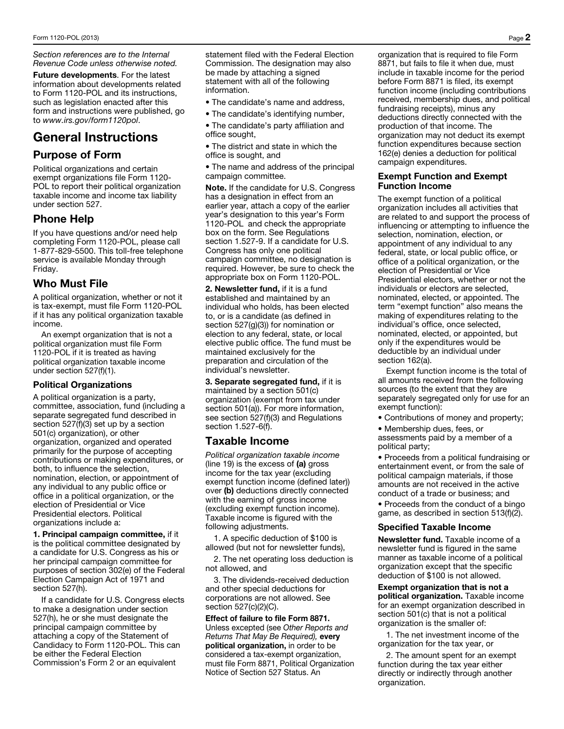*Section references are to the Internal Revenue Code unless otherwise noted.* 

Future developments. For the latest information about developments related to Form 1120-POL and its instructions, such as legislation enacted after this form and instructions were published, go to *www.irs.gov/form1120pol*.

# General Instructions

# Purpose of Form

Political organizations and certain exempt organizations file Form 1120- POL to report their political organization taxable income and income tax liability under section 527.

# Phone Help

If you have questions and/or need help completing Form 1120-POL, please call 1-877-829-5500. This toll-free telephone service is available Monday through Friday.

## Who Must File

A political organization, whether or not it is tax-exempt, must file Form 1120-POL if it has any political organization taxable income.

An exempt organization that is not a political organization must file Form 1120-POL if it is treated as having political organization taxable income under section 527(f)(1).

#### Political Organizations

A political organization is a party, committee, association, fund (including a separate segregated fund described in section 527(f)(3) set up by a section 501(c) organization), or other organization, organized and operated primarily for the purpose of accepting contributions or making expenditures, or both, to influence the selection, nomination, election, or appointment of any individual to any public office or office in a political organization, or the election of Presidential or Vice Presidential electors. Political organizations include a:

1. Principal campaign committee, if it is the political committee designated by a candidate for U.S. Congress as his or her principal campaign committee for purposes of section 302(e) of the Federal Election Campaign Act of 1971 and section 527(h).

If a candidate for U.S. Congress elects to make a designation under section 527(h), he or she must designate the principal campaign committee by attaching a copy of the Statement of Candidacy to Form 1120-POL. This can be either the Federal Election Commission's Form 2 or an equivalent

statement filed with the Federal Election Commission. The designation may also be made by attaching a signed statement with all of the following information.

- The candidate's name and address,
- The candidate's identifying number,
- The candidate's party affiliation and office sought,
- The district and state in which the office is sought, and
- The name and address of the principal campaign committee.

Note. If the candidate for U.S. Congress has a designation in effect from an earlier year, attach a copy of the earlier year's designation to this year's Form 1120-POL and check the appropriate box on the form. See Regulations section 1.527-9. If a candidate for U.S. Congress has only one political campaign committee, no designation is required. However, be sure to check the appropriate box on Form 1120-POL.

2. Newsletter fund, if it is a fund established and maintained by an individual who holds, has been elected to, or is a candidate (as defined in section 527(g)(3)) for nomination or election to any federal, state, or local elective public office. The fund must be maintained exclusively for the preparation and circulation of the individual's newsletter.

3. Separate segregated fund, if it is maintained by a section 501(c) organization (exempt from tax under section 501(a)). For more information, see section 527(f)(3) and Regulations section 1.527-6(f).

#### Taxable Income

*Political organization taxable income*  (line 19) is the excess of  $(a)$  gross income for the tax year (excluding exempt function income (defined later)) over (b) deductions directly connected with the earning of gross income (excluding exempt function income). Taxable income is figured with the following adjustments.

1. A specific deduction of \$100 is allowed (but not for newsletter funds),

2. The net operating loss deduction is not allowed, and

3. The dividends-received deduction and other special deductions for corporations are not allowed. See section 527(c)(2)(C).

Effect of failure to file Form 8871. Unless excepted (see *Other Reports and Returns That May Be Required),* every political organization, in order to be considered a tax-exempt organization, must file Form 8871, Political Organization Notice of Section 527 Status. An

organization that is required to file Form 8871, but fails to file it when due, must include in taxable income for the period before Form 8871 is filed, its exempt function income (including contributions received, membership dues, and political fundraising receipts), minus any deductions directly connected with the production of that income. The organization may not deduct its exempt function expenditures because section 162(e) denies a deduction for political campaign expenditures.

#### Exempt Function and Exempt Function Income

The exempt function of a political organization includes all activities that are related to and support the process of influencing or attempting to influence the selection, nomination, election, or appointment of any individual to any federal, state, or local public office, or office of a political organization, or the election of Presidential or Vice Presidential electors, whether or not the individuals or electors are selected, nominated, elected, or appointed. The term "exempt function" also means the making of expenditures relating to the individual's office, once selected, nominated, elected, or appointed, but only if the expenditures would be deductible by an individual under section 162(a).

Exempt function income is the total of all amounts received from the following sources (to the extent that they are separately segregated only for use for an exempt function):

• Contributions of money and property;

• Membership dues, fees, or assessments paid by a member of a political party;

• Proceeds from a political fundraising or entertainment event, or from the sale of political campaign materials, if those amounts are not received in the active conduct of a trade or business; and • Proceeds from the conduct of a bingo game, as described in section 513(f)(2).

#### Specified Taxable Income

Newsletter fund. Taxable income of a newsletter fund is figured in the same manner as taxable income of a political organization except that the specific deduction of \$100 is not allowed.

Exempt organization that is not a political organization. Taxable income for an exempt organization described in section 501(c) that is not a political organization is the smaller of:

1. The net investment income of the organization for the tax year, or

2. The amount spent for an exempt function during the tax year either directly or indirectly through another organization.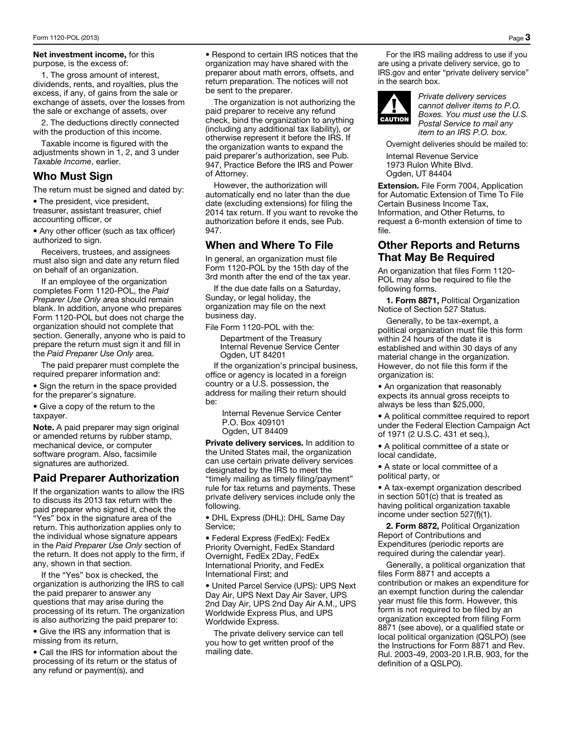Net investment income, for this purpose, is the excess of:

1. The gross amount of interest, dividends, rents, and royalties, plus the excess, if any, of gains from the sale or exchange of assets, over the losses from the sale or exchange of assets, over

2. The deductions directly connected with the production of this income.

Taxable income is figured with the adjustments shown in 1, 2, and 3 under *Taxable Income*, earlier.

#### Who Must Sign

The return must be signed and dated by:

• The president, vice president, treasurer, assistant treasurer, chief accounting officer, or

• Any other officer (such as tax officer) authorized to sign.

Receivers, trustees, and assignees must also sign and date any return filed on behalf of an organization.

If an employee of the organization completes Form 1120-POL, the *Paid Preparer Use Only* area should remain blank. In addition, anyone who prepares Form 1120-POL but does not charge the organization should not complete that section. Generally, anyone who is paid to prepare the return must sign it and fill in the *Paid Preparer Use Only* area.

The paid preparer must complete the required preparer information and:

• Sign the return in the space provided for the preparer's signature.

• Give a copy of the return to the taxpayer.

Note. A paid preparer may sign original or amended returns by rubber stamp, mechanical device, or computer software program. Also, facsimile signatures are authorized.

# Paid Preparer Authorization

If the organization wants to allow the IRS to discuss its 2013 tax return with the paid preparer who signed it, check the "Yes" box in the signature area of the return. This authorization applies only to the individual whose signature appears in the *Paid Preparer Use Only* section of the return. It does not apply to the firm, if any, shown in that section.

If the "Yes" box is checked, the organization is authorizing the IRS to call the paid preparer to answer any questions that may arise during the processing of its return. The organization is also authorizing the paid preparer to:

• Give the IRS any information that is missing from its return,

• Call the IRS for information about the processing of its return or the status of any refund or payment(s), and

• Respond to certain IRS notices that the organization may have shared with the preparer about math errors, offsets, and return preparation. The notices will not be sent to the preparer.

The organization is not authorizing the paid preparer to receive any refund check, bind the organization to anything (including any additional tax liability), or otherwise represent it before the IRS. If the organization wants to expand the paid preparer's authorization, see Pub. 947, Practice Before the IRS and Power of Attorney.

However, the authorization will automatically end no later than the due date (excluding extensions) for filing the 2014 tax return. If you want to revoke the authorization before it ends, see Pub. 947.

## When and Where To File

In general, an organization must file Form 1120-POL by the 15th day of the 3rd month after the end of the tax year.

If the due date falls on a Saturday, Sunday, or legal holiday, the organization may file on the next business day.

File Form 1120-POL with the:

Department of the Treasury Internal Revenue Service Center Ogden, UT 84201

If the organization's principal business, office or agency is located in a foreign country or a U.S. possession, the address for mailing their return should be:

Internal Revenue Service Center P.O. Box 409101 Ogden, UT 84409

Private delivery services. In addition to the United States mail, the organization can use certain private delivery services designated by the IRS to meet the "timely mailing as timely filing/payment" rule for tax returns and payments. These private delivery services include only the following.

• DHL Express (DHL): DHL Same Day Service;

• Federal Express (FedEx): FedEx Priority Overnight, FedEx Standard Overnight, FedEx 2Day, FedEx International Priority, and FedEx International First; and

• United Parcel Service (UPS): UPS Next Day Air, UPS Next Day Air Saver, UPS 2nd Day Air, UPS 2nd Day Air A.M., UPS Worldwide Express Plus, and UPS Worldwide Express.

The private delivery service can tell you how to get written proof of the mailing date.

For the IRS mailing address to use if you are using a private delivery service, go to IRS.gov and enter "private delivery service" in the search box.



*Private delivery services cannot deliver items to P.O. Boxes. You must use the U.S. Postal Service to mail any item to an IRS P.O. box.* 

Overnight deliveries should be mailed to:

Internal Revenue Service 1973 Rulon White Blvd. Ogden, UT 84404

Extension. File Form 7004, Application for Automatic Extension of Time To File Certain Business Income Tax, Information, and Other Returns, to request a 6-month extension of time to file.

## Other Reports and Returns That May Be Required

An organization that files Form 1120- POL may also be required to file the following forms.

1. Form 8871, Political Organization Notice of Section 527 Status.

Generally, to be tax-exempt, a political organization must file this form within 24 hours of the date it is established and within 30 days of any material change in the organization. However, do not file this form if the organization is:

• An organization that reasonably expects its annual gross receipts to always be less than \$25,000,

• A political committee required to report under the Federal Election Campaign Act of 1971 (2 U.S.C. 431 et seq.),

• A political committee of a state or local candidate,

• A state or local committee of a political party, or

• A tax-exempt organization described in section 501(c) that is treated as having political organization taxable income under section 527(f)(1).

2. Form 8872, Political Organization Report of Contributions and Expenditures (periodic reports are required during the calendar year).

Generally, a political organization that files Form 8871 and accepts a contribution or makes an expenditure for an exempt function during the calendar year must file this form. However, this form is not required to be filed by an organization excepted from filing Form 8871 (see above), or a qualified state or local political organization (QSLPO) (see the Instructions for Form 8871 and Rev. Rul. 2003-49, 2003-20 I.R.B. 903, for the definition of a QSLPO).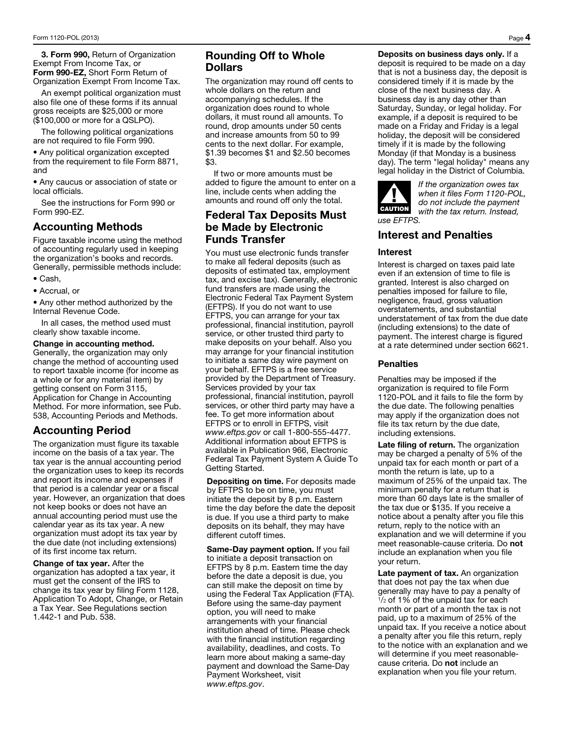3. Form 990, Return of Organization Exempt From Income Tax, or Form 990-EZ, Short Form Return of Organization Exempt From Income Tax.

An exempt political organization must also file one of these forms if its annual gross receipts are \$25,000 or more (\$100,000 or more for a QSLPO).

The following political organizations are not required to file Form 990.

• Any political organization excepted from the requirement to file Form 8871, and

• Any caucus or association of state or local officials.

See the instructions for Form 990 or Form 990-EZ.

#### Accounting Methods

Figure taxable income using the method of accounting regularly used in keeping the organization's books and records. Generally, permissible methods include:

- Cash,
- Accrual, or

• Any other method authorized by the Internal Revenue Code.

In all cases, the method used must clearly show taxable income.

#### Change in accounting method.

Generally, the organization may only change the method of accounting used to report taxable income (for income as a whole or for any material item) by getting consent on Form 3115, Application for Change in Accounting Method. For more information, see Pub. 538, Accounting Periods and Methods.

# Accounting Period

The organization must figure its taxable income on the basis of a tax year. The tax year is the annual accounting period the organization uses to keep its records and report its income and expenses if that period is a calendar year or a fiscal year. However, an organization that does not keep books or does not have an annual accounting period must use the calendar year as its tax year. A new organization must adopt its tax year by the due date (not including extensions) of its first income tax return.

Change of tax year. After the organization has adopted a tax year, it must get the consent of the IRS to change its tax year by filing Form 1128, Application To Adopt, Change, or Retain a Tax Year. See Regulations section 1.442-1 and Pub. 538.

# Rounding Off to Whole Dollars

The organization may round off cents to whole dollars on the return and accompanying schedules. If the organization does round to whole dollars, it must round all amounts. To round, drop amounts under 50 cents and increase amounts from 50 to 99 cents to the next dollar. For example, \$1.39 becomes \$1 and \$2.50 becomes \$3.

If two or more amounts must be added to figure the amount to enter on a line, include cents when adding the amounts and round off only the total.

#### Federal Tax Deposits Must be Made by Electronic Funds Transfer

You must use electronic funds transfer to make all federal deposits (such as deposits of estimated tax, employment tax, and excise tax). Generally, electronic fund transfers are made using the Electronic Federal Tax Payment System (EFTPS). If you do not want to use EFTPS, you can arrange for your tax professional, financial institution, payroll service, or other trusted third party to make deposits on your behalf. Also you may arrange for your financial institution to initiate a same day wire payment on your behalf. EFTPS is a free service provided by the Department of Treasury. Services provided by your tax professional, financial institution, payroll services, or other third party may have a fee. To get more information about EFTPS or to enroll in EFTPS, visit *www.eftps.gov* or call 1-800-555-4477. Additional information about EFTPS is available in Publication 966, Electronic Federal Tax Payment System A Guide To Getting Started.

Depositing on time. For deposits made by EFTPS to be on time, you must initiate the deposit by 8 p.m. Eastern time the day before the date the deposit is due. If you use a third party to make deposits on its behalf, they may have different cutoff times.

Same-Day payment option. If you fail to initiate a deposit transaction on EFTPS by 8 p.m. Eastern time the day before the date a deposit is due, you can still make the deposit on time by using the Federal Tax Application (FTA). Before using the same-day payment option, you will need to make arrangements with your financial institution ahead of time. Please check with the financial institution regarding availability, deadlines, and costs. To learn more about making a same-day payment and download the Same-Day Payment Worksheet, visit *www.eftps.gov*.

Deposits on business days only. If a deposit is required to be made on a day that is not a business day, the deposit is considered timely if it is made by the close of the next business day. A business day is any day other than Saturday, Sunday, or legal holiday. For example, if a deposit is required to be made on a Friday and Friday is a legal holiday, the deposit will be considered timely if it is made by the following Monday (if that Monday is a business day). The term "legal holiday" means any legal holiday in the District of Columbia.



*If the organization owes tax when it files Form 1120-POL, do not include the payment with the tax return. Instead,* 

# Interest and Penalties

#### Interest

Interest is charged on taxes paid late even if an extension of time to file is granted. Interest is also charged on penalties imposed for failure to file, negligence, fraud, gross valuation overstatements, and substantial understatement of tax from the due date (including extensions) to the date of payment. The interest charge is figured at a rate determined under section 6621.

#### **Penalties**

Penalties may be imposed if the organization is required to file Form 1120-POL and it fails to file the form by the due date. The following penalties may apply if the organization does not file its tax return by the due date, including extensions.

Late filing of return. The organization may be charged a penalty of 5% of the unpaid tax for each month or part of a month the return is late, up to a maximum of 25% of the unpaid tax. The minimum penalty for a return that is more than 60 days late is the smaller of the tax due or \$135. If you receive a notice about a penalty after you file this return, reply to the notice with an explanation and we will determine if you meet reasonable-cause criteria. Do not include an explanation when you file your return.

Late payment of tax. An organization that does not pay the tax when due generally may have to pay a penalty of  $\frac{1}{2}$  of 1% of the unpaid tax for each month or part of a month the tax is not paid, up to a maximum of 25% of the unpaid tax. If you receive a notice about a penalty after you file this return, reply to the notice with an explanation and we will determine if you meet reasonablecause criteria. Do not include an explanation when you file your return.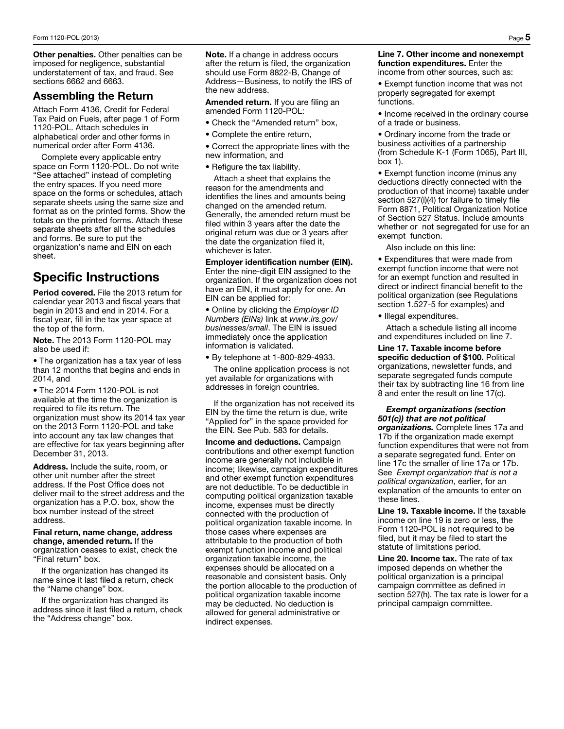Other penalties. Other penalties can be imposed for negligence, substantial understatement of tax, and fraud. See sections 6662 and 6663.

# Assembling the Return

Attach Form 4136, Credit for Federal Tax Paid on Fuels, after page 1 of Form 1120-POL. Attach schedules in alphabetical order and other forms in numerical order after Form 4136.

Complete every applicable entry space on Form 1120-POL. Do not write "See attached" instead of completing the entry spaces. If you need more space on the forms or schedules, attach separate sheets using the same size and format as on the printed forms. Show the totals on the printed forms. Attach these separate sheets after all the schedules and forms. Be sure to put the organization's name and EIN on each sheet.

# Specific Instructions

Period covered. File the 2013 return for calendar year 2013 and fiscal years that begin in 2013 and end in 2014. For a fiscal year, fill in the tax year space at the top of the form.

Note. The 2013 Form 1120-POL may also be used if:

• The organization has a tax year of less than 12 months that begins and ends in 2014, and

• The 2014 Form 1120-POL is not available at the time the organization is required to file its return. The organization must show its 2014 tax year on the 2013 Form 1120-POL and take into account any tax law changes that are effective for tax years beginning after December 31, 2013.

Address. Include the suite, room, or other unit number after the street address. If the Post Office does not deliver mail to the street address and the organization has a P.O. box, show the box number instead of the street address.

Final return, name change, address change, amended return. If the organization ceases to exist, check the "Final return" box.

If the organization has changed its name since it last filed a return, check the "Name change" box.

If the organization has changed its address since it last filed a return, check the "Address change" box.

Note. If a change in address occurs after the return is filed, the organization should use Form 8822-B, Change of Address—Business, to notify the IRS of the new address.

Amended return. If you are filing an amended Form 1120-POL:

- Check the "Amended return" box,
- Complete the entire return,

• Correct the appropriate lines with the new information, and

• Refigure the tax liability.

Attach a sheet that explains the reason for the amendments and identifies the lines and amounts being changed on the amended return. Generally, the amended return must be filed within 3 years after the date the original return was due or 3 years after the date the organization filed it, whichever is later.

Employer identification number (EIN). Enter the nine-digit EIN assigned to the organization. If the organization does not have an EIN, it must apply for one. An EIN can be applied for:

• Online by clicking the *Employer ID Numbers (EINs)* link at *www.irs.gov/ businesses/small*. The EIN is issued immediately once the application information is validated.

• By telephone at 1-800-829-4933.

The online application process is not yet available for organizations with addresses in foreign countries.

If the organization has not received its EIN by the time the return is due, write "Applied for" in the space provided for the EIN. See Pub. 583 for details.

Income and deductions. Campaign contributions and other exempt function income are generally not includible in income; likewise, campaign expenditures and other exempt function expenditures are not deductible. To be deductible in computing political organization taxable income, expenses must be directly connected with the production of political organization taxable income. In those cases where expenses are attributable to the production of both exempt function income and political organization taxable income, the expenses should be allocated on a reasonable and consistent basis. Only the portion allocable to the production of political organization taxable income may be deducted. No deduction is allowed for general administrative or indirect expenses.

#### Line 7. Other income and nonexempt function expenditures. Enter the income from other sources, such as:

• Exempt function income that was not properly segregated for exempt functions.

• Income received in the ordinary course of a trade or business.

• Ordinary income from the trade or business activities of a partnership (from Schedule K-1 (Form 1065), Part III, box 1).

• Exempt function income (minus any deductions directly connected with the production of that income) taxable under section 527(i)(4) for failure to timely file Form 8871, Political Organization Notice of Section 527 Status. Include amounts whether or not segregated for use for an exempt function.

Also include on this line:

• Expenditures that were made from exempt function income that were not for an exempt function and resulted in direct or indirect financial benefit to the political organization (see Regulations section 1.527-5 for examples) and

• Illegal expenditures.

Attach a schedule listing all income and expenditures included on line 7.

Line 17. Taxable income before specific deduction of \$100. Political organizations, newsletter funds, and separate segregated funds compute their tax by subtracting line 16 from line 8 and enter the result on line 17(c).

#### *Exempt organizations (section 501(c)) that are not political*

*organizations.* Complete lines 17a and 17b if the organization made exempt function expenditures that were not from a separate segregated fund. Enter on line 17c the smaller of line 17a or 17b. See *Exempt organization that is not a political organization*, earlier, for an explanation of the amounts to enter on these lines.

Line 19. Taxable income. If the taxable income on line 19 is zero or less, the Form 1120-POL is not required to be filed, but it may be filed to start the statute of limitations period.

Line 20. Income tax. The rate of tax imposed depends on whether the political organization is a principal campaign committee as defined in section 527(h). The tax rate is lower for a principal campaign committee.